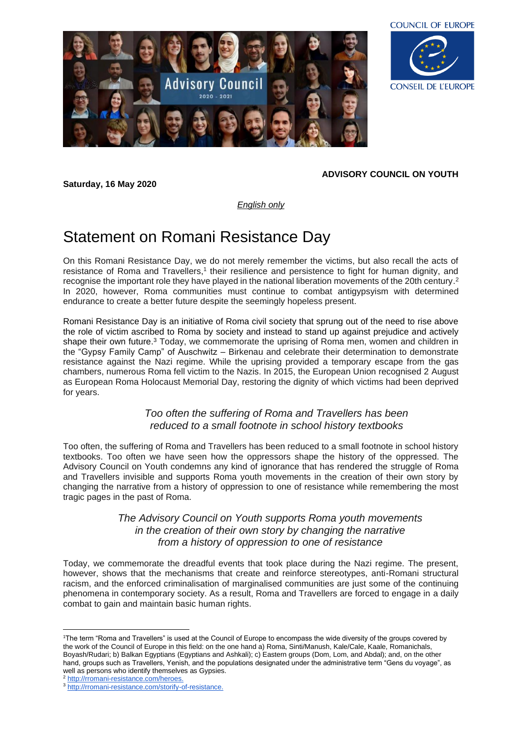



**ADVISORY COUNCIL ON YOUTH**

*English only*

## Statement on Romani Resistance Day

**Saturday, 16 May 2020**

On this Romani Resistance Day, we do not merely remember the victims, but also recall the acts of resistance of Roma and Travellers,<sup>1</sup> their resilience and persistence to fight for human dignity, and recognise the important role they have played in the national liberation movements of the 20th century. 2 In 2020, however, Roma communities must continue to combat antigypsyism with determined endurance to create a better future despite the seemingly hopeless present.

Romani Resistance Day is an initiative of Roma civil society that sprung out of the need to rise above the role of victim ascribed to Roma by society and instead to stand up against prejudice and actively shape their own future.<sup>3</sup> Today, we commemorate the uprising of Roma men, women and children in the "Gypsy Family Camp" of Auschwitz – Birkenau and celebrate their determination to demonstrate resistance against the Nazi regime. While the uprising provided a temporary escape from the gas chambers, numerous Roma fell victim to the Nazis. In 2015, the European Union recognised 2 August as European Roma Holocaust Memorial Day, restoring the dignity of which victims had been deprived for years.

## *Too often the suffering of Roma and Travellers has been reduced to a small footnote in school history textbooks*

Too often, the suffering of Roma and Travellers has been reduced to a small footnote in school history textbooks. Too often we have seen how the oppressors shape the history of the oppressed. The Advisory Council on Youth condemns any kind of ignorance that has rendered the struggle of Roma and Travellers invisible and supports Roma youth movements in the creation of their own story by changing the narrative from a history of oppression to one of resistance while remembering the most tragic pages in the past of Roma.

## *The Advisory Council on Youth supports Roma youth movements in the creation of their own story by changing the narrative from a history of oppression to one of resistance*

Today, we commemorate the dreadful events that took place during the Nazi regime. The present, however, shows that the mechanisms that create and reinforce stereotypes, anti-Romani structural racism, and the enforced criminalisation of marginalised communities are just some of the continuing phenomena in contemporary society. As a result, Roma and Travellers are forced to engage in a daily combat to gain and maintain basic human rights.

<sup>&</sup>lt;sup>1</sup>The term "Roma and Travellers" is used at the Council of Europe to encompass the wide diversity of the groups covered by the work of the Council of Europe in this field: on the one hand a) Roma, Sinti/Manush, Kale/Cale, Kaale, Romanichals, Boyash/Rudari; b) Balkan Egyptians (Egyptians and Ashkali); c) Eastern groups (Dom, Lom, and Abdal); and, on the other hand, groups such as Travellers, Yenish, and the populations designated under the administrative term "Gens du voyage", as well as persons who identify themselves as Gypsies.

<sup>2</sup> [http://rromani-resistance.com/heroes.](http://rromani-resistance.com/heroes)

<sup>3</sup> [http://rromani-resistance.com/storify-of-resistance.](http://rromani-resistance.com/storify-of-resistance)